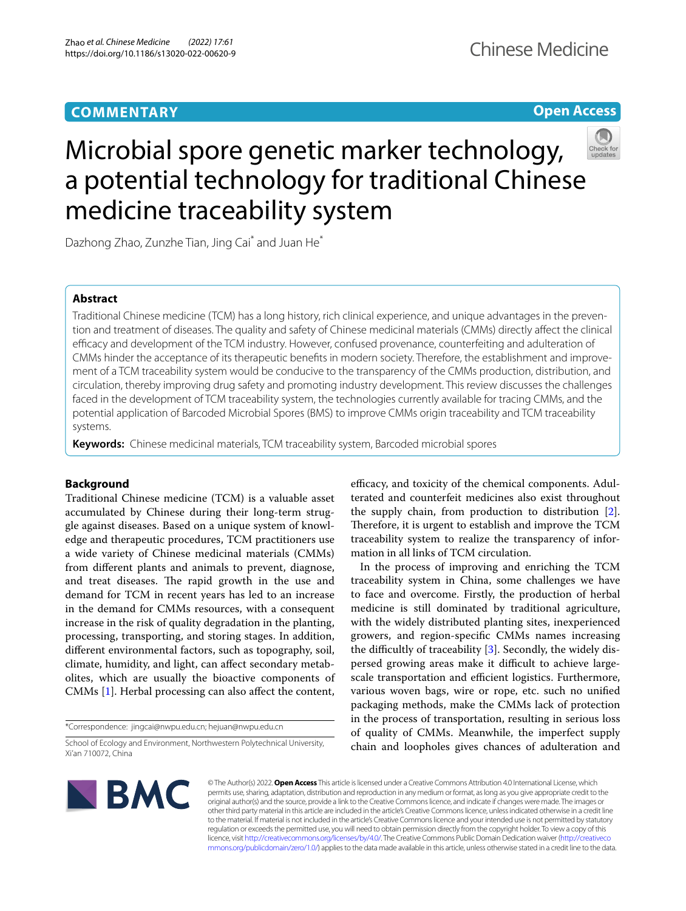# **COMMENTARY**

## **Open Access**



# Microbial spore genetic marker technology, a potential technology for traditional Chinese medicine traceability system

Dazhong Zhao, Zunzhe Tian, Jing Cai<sup>\*</sup> and Juan He<sup>\*</sup>

## **Abstract**

Traditional Chinese medicine (TCM) has a long history, rich clinical experience, and unique advantages in the prevention and treatment of diseases. The quality and safety of Chinese medicinal materials (CMMs) directly afect the clinical efficacy and development of the TCM industry. However, confused provenance, counterfeiting and adulteration of CMMs hinder the acceptance of its therapeutic benefts in modern society. Therefore, the establishment and improvement of a TCM traceability system would be conducive to the transparency of the CMMs production, distribution, and circulation, thereby improving drug safety and promoting industry development. This review discusses the challenges faced in the development of TCM traceability system, the technologies currently available for tracing CMMs, and the potential application of Barcoded Microbial Spores (BMS) to improve CMMs origin traceability and TCM traceability systems.

**Keywords:** Chinese medicinal materials, TCM traceability system, Barcoded microbial spores

## **Background**

Traditional Chinese medicine (TCM) is a valuable asset accumulated by Chinese during their long-term struggle against diseases. Based on a unique system of knowledge and therapeutic procedures, TCM practitioners use a wide variety of Chinese medicinal materials (CMMs) from diferent plants and animals to prevent, diagnose, and treat diseases. The rapid growth in the use and demand for TCM in recent years has led to an increase in the demand for CMMs resources, with a consequent increase in the risk of quality degradation in the planting, processing, transporting, and storing stages. In addition, diferent environmental factors, such as topography, soil, climate, humidity, and light, can afect secondary metabolites, which are usually the bioactive components of CMMs [\[1](#page-4-0)]. Herbal processing can also affect the content,

\*Correspondence: jingcai@nwpu.edu.cn; hejuan@nwpu.edu.cn

efficacy, and toxicity of the chemical components. Adulterated and counterfeit medicines also exist throughout the supply chain, from production to distribution [\[2](#page-4-1)]. Therefore, it is urgent to establish and improve the TCM traceability system to realize the transparency of information in all links of TCM circulation.

In the process of improving and enriching the TCM traceability system in China, some challenges we have to face and overcome. Firstly, the production of herbal medicine is still dominated by traditional agriculture, with the widely distributed planting sites, inexperienced growers, and region-specifc CMMs names increasing the difficultly of traceability  $[3]$  $[3]$ . Secondly, the widely dispersed growing areas make it difficult to achieve largescale transportation and efficient logistics. Furthermore, various woven bags, wire or rope, etc. such no unifed packaging methods, make the CMMs lack of protection in the process of transportation, resulting in serious loss of quality of CMMs. Meanwhile, the imperfect supply chain and loopholes gives chances of adulteration and



© The Author(s) 2022. **Open Access** This article is licensed under a Creative Commons Attribution 4.0 International License, which permits use, sharing, adaptation, distribution and reproduction in any medium or format, as long as you give appropriate credit to the original author(s) and the source, provide a link to the Creative Commons licence, and indicate if changes were made. The images or other third party material in this article are included in the article's Creative Commons licence, unless indicated otherwise in a credit line to the material. If material is not included in the article's Creative Commons licence and your intended use is not permitted by statutory regulation or exceeds the permitted use, you will need to obtain permission directly from the copyright holder. To view a copy of this licence, visit [http://creativecommons.org/licenses/by/4.0/.](http://creativecommons.org/licenses/by/4.0/) The Creative Commons Public Domain Dedication waiver ([http://creativeco](http://creativecommons.org/publicdomain/zero/1.0/) [mmons.org/publicdomain/zero/1.0/](http://creativecommons.org/publicdomain/zero/1.0/)) applies to the data made available in this article, unless otherwise stated in a credit line to the data.

School of Ecology and Environment, Northwestern Polytechnical University, Xi'an 710072, China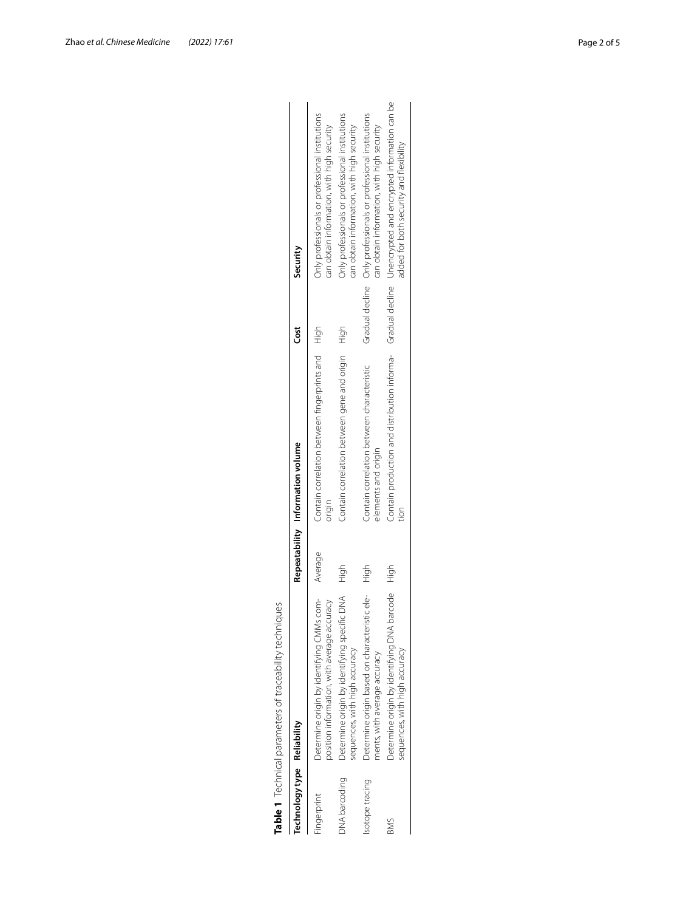|                             | Table 1 Technical parameters of traceability techniques                                  |         |                                                                   |      |                                                                                                                                                      |
|-----------------------------|------------------------------------------------------------------------------------------|---------|-------------------------------------------------------------------|------|------------------------------------------------------------------------------------------------------------------------------------------------------|
| Technology type Reliability |                                                                                          |         | Repeatability Information volume                                  | čst  | Security                                                                                                                                             |
| Fingerprint                 | Determine origin by identifying CMMs com-<br>position information, with average accuracy | Average | Contain correlation between fingerprints and High<br>origin       |      | Only professionals or professional institutions<br>can obtain information, with high security                                                        |
| <b>DNA</b> barcoding        | Determine origin by identifying specific DNA<br>sequences, with high accuracy            | High    | Contain correlation between gene and origin                       | High | Only professionals or professional institutions<br>can obtain information, with high security                                                        |
| sotope tracing              | Determine origin based on characteristic ele-<br>ments, with average accuracy            | High    | Contain correlation between characteristic<br>elements and origin |      | Gradual decline  Only professionals or professional institutions<br>can obtain information, with high security                                       |
| <b>BMS</b>                  | Determine origin by identifying DNA barcode<br>sequences, with high accuracy             | High    | tion                                                              |      | Contain production and distribution informa- Gradual decline Unencrypted and encrypted information can be<br>added for both security and flexibility |

<span id="page-1-0"></span>

| I<br>j<br>くうらく<br>J                |
|------------------------------------|
| į<br>j<br>5<br>,                   |
| . C 24646222222222222222<br>J<br>j |
|                                    |
|                                    |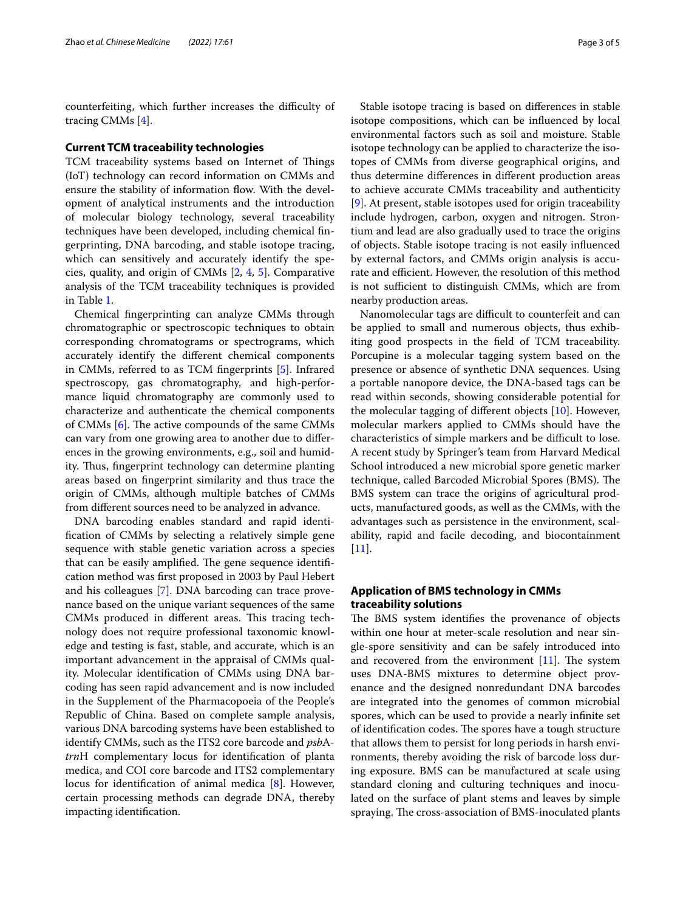counterfeiting, which further increases the difficulty of tracing CMMs [\[4](#page-4-3)].

#### **Current TCM traceability technologies**

TCM traceability systems based on Internet of Things (IoT) technology can record information on CMMs and ensure the stability of information flow. With the development of analytical instruments and the introduction of molecular biology technology, several traceability techniques have been developed, including chemical fngerprinting, DNA barcoding, and stable isotope tracing, which can sensitively and accurately identify the species, quality, and origin of CMMs [\[2](#page-4-1), [4,](#page-4-3) [5](#page-4-4)]. Comparative analysis of the TCM traceability techniques is provided in Table [1](#page-1-0).

Chemical fngerprinting can analyze CMMs through chromatographic or spectroscopic techniques to obtain corresponding chromatograms or spectrograms, which accurately identify the diferent chemical components in CMMs, referred to as TCM fngerprints [\[5](#page-4-4)]. Infrared spectroscopy, gas chromatography, and high-performance liquid chromatography are commonly used to characterize and authenticate the chemical components of CMMs  $[6]$  $[6]$ . The active compounds of the same CMMs can vary from one growing area to another due to diferences in the growing environments, e.g., soil and humidity. Thus, fingerprint technology can determine planting areas based on fngerprint similarity and thus trace the origin of CMMs, although multiple batches of CMMs from diferent sources need to be analyzed in advance.

DNA barcoding enables standard and rapid identifcation of CMMs by selecting a relatively simple gene sequence with stable genetic variation across a species that can be easily amplified. The gene sequence identification method was frst proposed in 2003 by Paul Hebert and his colleagues [\[7](#page-4-6)]. DNA barcoding can trace provenance based on the unique variant sequences of the same CMMs produced in different areas. This tracing technology does not require professional taxonomic knowledge and testing is fast, stable, and accurate, which is an important advancement in the appraisal of CMMs quality. Molecular identifcation of CMMs using DNA barcoding has seen rapid advancement and is now included in the Supplement of the Pharmacopoeia of the People's Republic of China. Based on complete sample analysis, various DNA barcoding systems have been established to identify CMMs, such as the ITS2 core barcode and *psb*A*trn*H complementary locus for identifcation of planta medica, and COI core barcode and ITS2 complementary locus for identifcation of animal medica [[8\]](#page-4-7). However, certain processing methods can degrade DNA, thereby impacting identifcation.

Stable isotope tracing is based on diferences in stable isotope compositions, which can be infuenced by local environmental factors such as soil and moisture. Stable isotope technology can be applied to characterize the isotopes of CMMs from diverse geographical origins, and thus determine diferences in diferent production areas to achieve accurate CMMs traceability and authenticity [[9\]](#page-4-8). At present, stable isotopes used for origin traceability include hydrogen, carbon, oxygen and nitrogen. Strontium and lead are also gradually used to trace the origins of objects. Stable isotope tracing is not easily infuenced by external factors, and CMMs origin analysis is accurate and efficient. However, the resolution of this method is not sufficient to distinguish CMMs, which are from nearby production areas.

Nanomolecular tags are difficult to counterfeit and can be applied to small and numerous objects, thus exhibiting good prospects in the feld of TCM traceability. Porcupine is a molecular tagging system based on the presence or absence of synthetic DNA sequences. Using a portable nanopore device, the DNA-based tags can be read within seconds, showing considerable potential for the molecular tagging of diferent objects [[10\]](#page-4-9). However, molecular markers applied to CMMs should have the characteristics of simple markers and be difficult to lose. A recent study by Springer's team from Harvard Medical School introduced a new microbial spore genetic marker technique, called Barcoded Microbial Spores (BMS). The BMS system can trace the origins of agricultural products, manufactured goods, as well as the CMMs, with the advantages such as persistence in the environment, scalability, rapid and facile decoding, and biocontainment [[11\]](#page-4-10).

## **Application of BMS technology in CMMs traceability solutions**

The BMS system identifies the provenance of objects within one hour at meter-scale resolution and near single-spore sensitivity and can be safely introduced into and recovered from the environment  $[11]$ . The system uses DNA-BMS mixtures to determine object provenance and the designed nonredundant DNA barcodes are integrated into the genomes of common microbial spores, which can be used to provide a nearly infnite set of identification codes. The spores have a tough structure that allows them to persist for long periods in harsh environments, thereby avoiding the risk of barcode loss during exposure. BMS can be manufactured at scale using standard cloning and culturing techniques and inoculated on the surface of plant stems and leaves by simple spraying. The cross-association of BMS-inoculated plants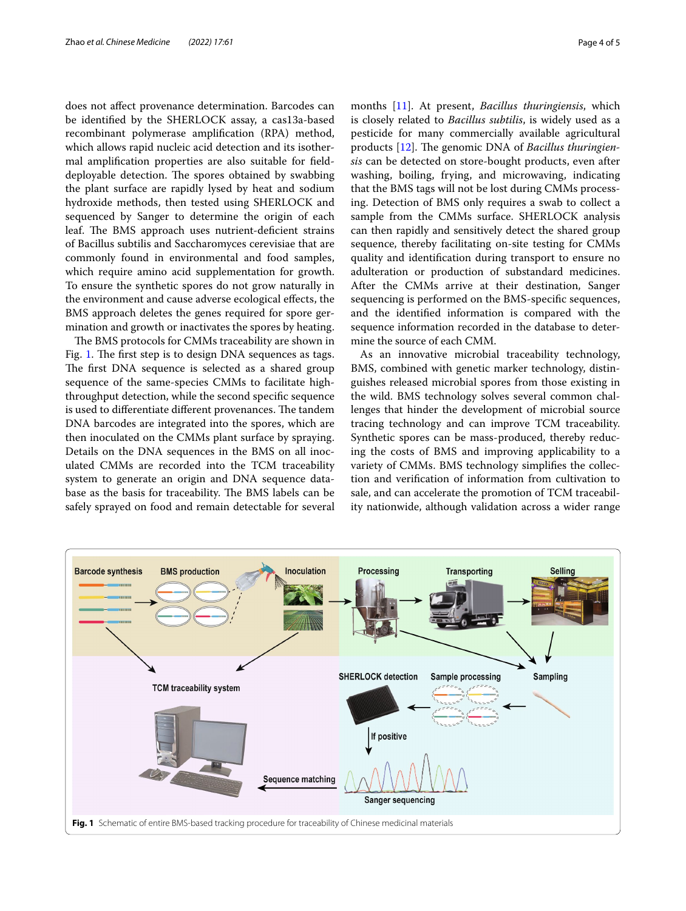does not afect provenance determination. Barcodes can be identifed by the SHERLOCK assay, a cas13a-based recombinant polymerase amplifcation (RPA) method, which allows rapid nucleic acid detection and its isothermal amplifcation properties are also suitable for felddeployable detection. The spores obtained by swabbing the plant surface are rapidly lysed by heat and sodium hydroxide methods, then tested using SHERLOCK and sequenced by Sanger to determine the origin of each leaf. The BMS approach uses nutrient-deficient strains of Bacillus subtilis and Saccharomyces cerevisiae that are commonly found in environmental and food samples, which require amino acid supplementation for growth. To ensure the synthetic spores do not grow naturally in the environment and cause adverse ecological efects, the BMS approach deletes the genes required for spore germination and growth or inactivates the spores by heating.

The BMS protocols for CMMs traceability are shown in Fig. [1](#page-3-0). The first step is to design DNA sequences as tags. The first DNA sequence is selected as a shared group sequence of the same-species CMMs to facilitate highthroughput detection, while the second specifc sequence is used to differentiate different provenances. The tandem DNA barcodes are integrated into the spores, which are then inoculated on the CMMs plant surface by spraying. Details on the DNA sequences in the BMS on all inoculated CMMs are recorded into the TCM traceability system to generate an origin and DNA sequence database as the basis for traceability. The BMS labels can be safely sprayed on food and remain detectable for several

months [[11\]](#page-4-10). At present, *Bacillus thuringiensis*, which is closely related to *Bacillus subtilis*, is widely used as a pesticide for many commercially available agricultural products [\[12](#page-4-11)]. The genomic DNA of *Bacillus thuringiensis* can be detected on store-bought products, even after washing, boiling, frying, and microwaving, indicating that the BMS tags will not be lost during CMMs processing. Detection of BMS only requires a swab to collect a sample from the CMMs surface. SHERLOCK analysis can then rapidly and sensitively detect the shared group sequence, thereby facilitating on-site testing for CMMs quality and identifcation during transport to ensure no adulteration or production of substandard medicines. After the CMMs arrive at their destination, Sanger sequencing is performed on the BMS-specifc sequences, and the identifed information is compared with the sequence information recorded in the database to determine the source of each CMM.

As an innovative microbial traceability technology, BMS, combined with genetic marker technology, distinguishes released microbial spores from those existing in the wild. BMS technology solves several common challenges that hinder the development of microbial source tracing technology and can improve TCM traceability. Synthetic spores can be mass-produced, thereby reducing the costs of BMS and improving applicability to a variety of CMMs. BMS technology simplifes the collection and verifcation of information from cultivation to sale, and can accelerate the promotion of TCM traceability nationwide, although validation across a wider range

<span id="page-3-0"></span>